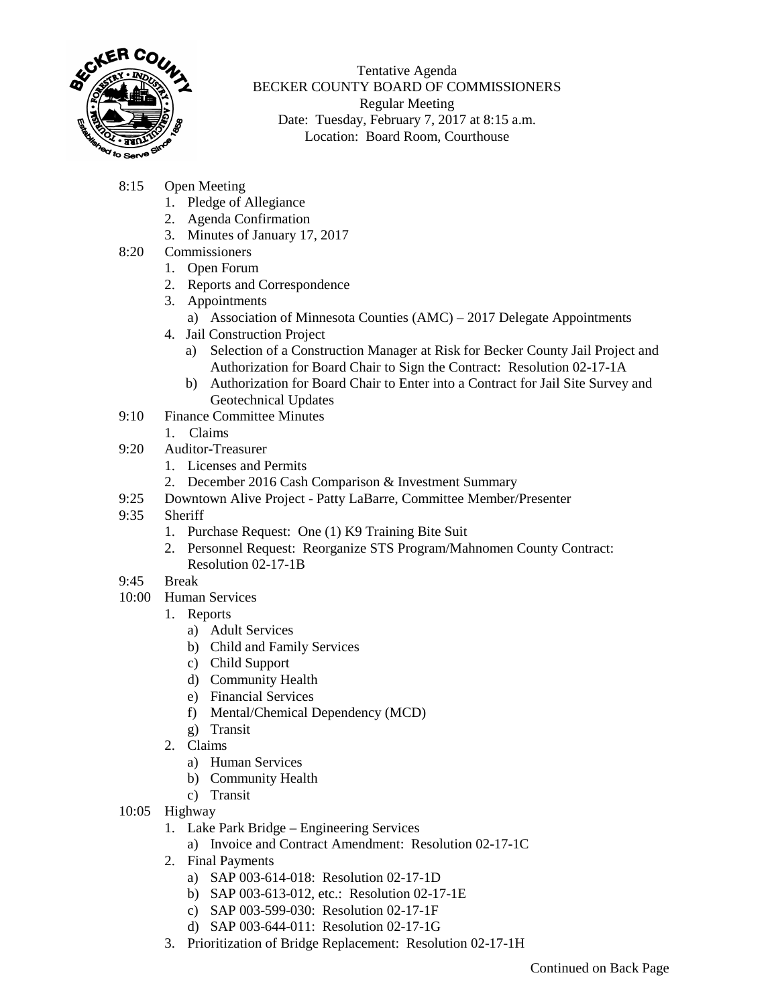

Tentative Agenda BECKER COUNTY BOARD OF COMMISSIONERS Regular Meeting Date: Tuesday, February 7, 2017 at 8:15 a.m. Location: Board Room, Courthouse

- 8:15 Open Meeting
	- 1. Pledge of Allegiance
	- 2. Agenda Confirmation
	- 3. Minutes of January 17, 2017
- 8:20 Commissioners
	- 1. Open Forum
	- 2. Reports and Correspondence
	- 3. Appointments
		- a) Association of Minnesota Counties (AMC) 2017 Delegate Appointments
	- 4. Jail Construction Project
		- a) Selection of a Construction Manager at Risk for Becker County Jail Project and Authorization for Board Chair to Sign the Contract: Resolution 02-17-1A
		- b) Authorization for Board Chair to Enter into a Contract for Jail Site Survey and Geotechnical Updates
- 9:10 Finance Committee Minutes
	- 1. Claims
- 9:20 Auditor-Treasurer
	- 1. Licenses and Permits
	- 2. December 2016 Cash Comparison & Investment Summary
- 9:25 Downtown Alive Project Patty LaBarre, Committee Member/Presenter
- 9:35 Sheriff
	- 1. Purchase Request: One (1) K9 Training Bite Suit
	- 2. Personnel Request: Reorganize STS Program/Mahnomen County Contract: Resolution 02-17-1B
- 9:45 Break
- 10:00 Human Services
	- 1. Reports
		- a) Adult Services
		- b) Child and Family Services
		- c) Child Support
		- d) Community Health
		- e) Financial Services
		- f) Mental/Chemical Dependency (MCD)
		- g) Transit
	- 2. Claims
		- a) Human Services
		- b) Community Health
		- c) Transit
- 10:05 Highway
	- 1. Lake Park Bridge Engineering Services
		- a) Invoice and Contract Amendment: Resolution 02-17-1C
	- 2. Final Payments
		- a) SAP 003-614-018: Resolution 02-17-1D
		- b) SAP 003-613-012, etc.: Resolution 02-17-1E
		- c) SAP 003-599-030: Resolution 02-17-1F
		- d) SAP 003-644-011: Resolution 02-17-1G
	- 3. Prioritization of Bridge Replacement: Resolution 02-17-1H